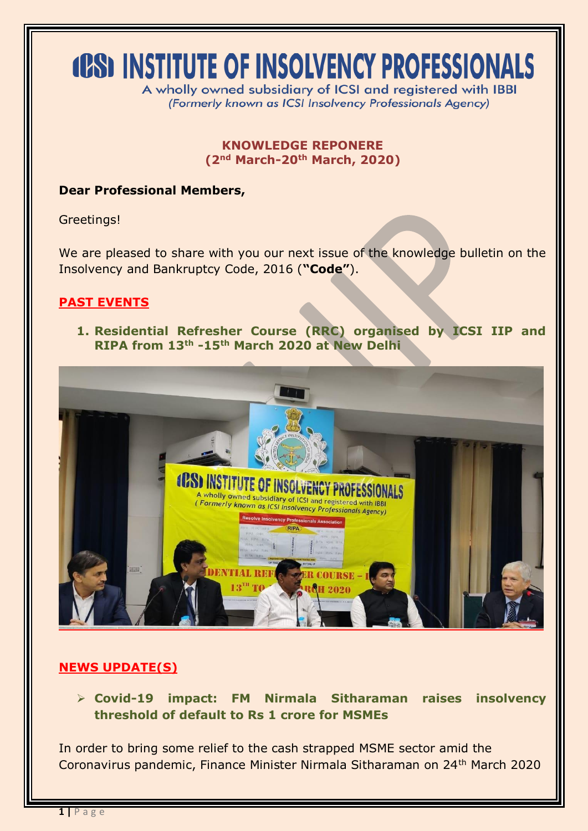# **(CS) INSTITUTE OF INSOLVENCY PROFESSIONALS**

A wholly owned subsidiary of ICSI and registered with IBBI (Formerly known as ICSI Insolvency Professionals Agency)

### **KNOWLEDGE REPONERE (2nd March-20th March, 2020)**

### **Dear Professional Members,**

Greetings!

We are pleased to share with you our next issue of the knowledge bulletin on the Insolvency and Bankruptcy Code, 2016 (**"Code"**).

# **PAST EVENTS**

**1. Residential Refresher Course (RRC) organised by ICSI IIP and RIPA from 13th -15th March 2020 at New Delhi**



# **NEWS UPDATE(S)**

 **Covid-19 impact: FM Nirmala Sitharaman raises insolvency threshold of default to Rs 1 crore for MSMEs**

In order to bring some relief to the cash strapped MSME sector amid the Coronavirus pandemic, Finance Minister Nirmala Sitharaman on 24th March 2020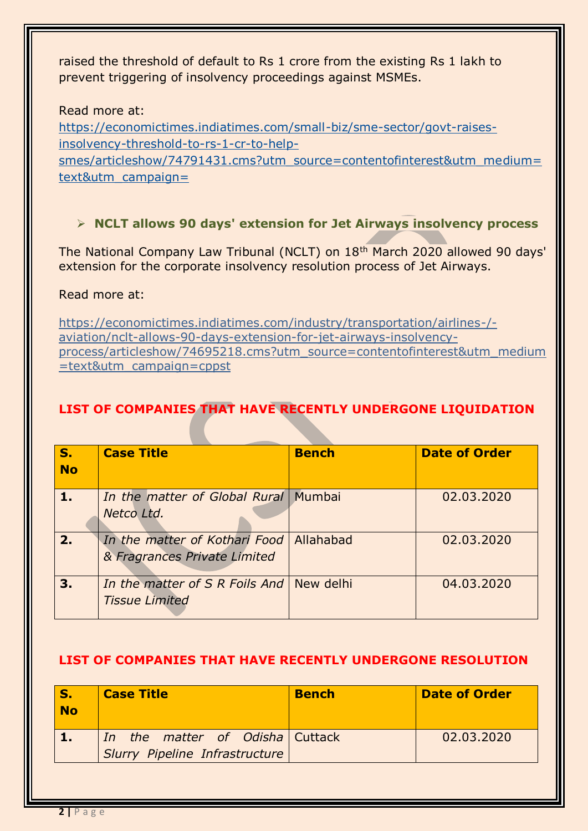raised the threshold of default to Rs 1 crore from the existing Rs 1 lakh to prevent triggering of insolvency proceedings against MSMEs.

#### Read more at:

https://economictimes.indiatimes.com/small-biz/sme-sector/govt-raisesinsolvency-threshold-to-rs-1-cr-to-help-

smes/articleshow/74791431.cms?utm\_source=contentofinterest&utm\_medium= text&utm\_campaign=

# **NCLT allows 90 days' extension for Jet Airways insolvency process**

The National Company Law Tribunal (NCLT) on 18<sup>th</sup> March 2020 allowed 90 days' extension for the corporate insolvency resolution process of Jet Airways.

#### Read more at:

https://economictimes.indiatimes.com/industry/transportation/airlines-/ aviation/nclt-allows-90-days-extension-for-jet-airways-insolvencyprocess/articleshow/74695218.cms?utm\_source=contentofinterest&utm\_medium =text&utm\_campaign=cppst

# **LIST OF COMPANIES THAT HAVE RECENTLY UNDERGONE LIQUIDATION**

| S.<br><b>No</b> | <b>Case Title</b>                                                         | <b>Bench</b> | <b>Date of Order</b> |
|-----------------|---------------------------------------------------------------------------|--------------|----------------------|
|                 | In the matter of Global Rural   Mumbai<br>Netco Ltd.                      |              | 02.03.2020           |
| 2.              | In the matter of Kothari Food   Allahabad<br>& Fragrances Private Limited |              | 02.03.2020           |
| 3.              | In the matter of S R Foils And   New delhi<br><b>Tissue Limited</b>       |              | 04.03.2020           |

#### **LIST OF COMPANIES THAT HAVE RECENTLY UNDERGONE RESOLUTION**

| <b>No</b> | <b>Case Title</b>                                                 | <b>Bench</b> | <b>Date of Order</b> |
|-----------|-------------------------------------------------------------------|--------------|----------------------|
|           | In the matter of Odisha Cuttack<br>Slurry Pipeline Infrastructure |              | 02.03.2020           |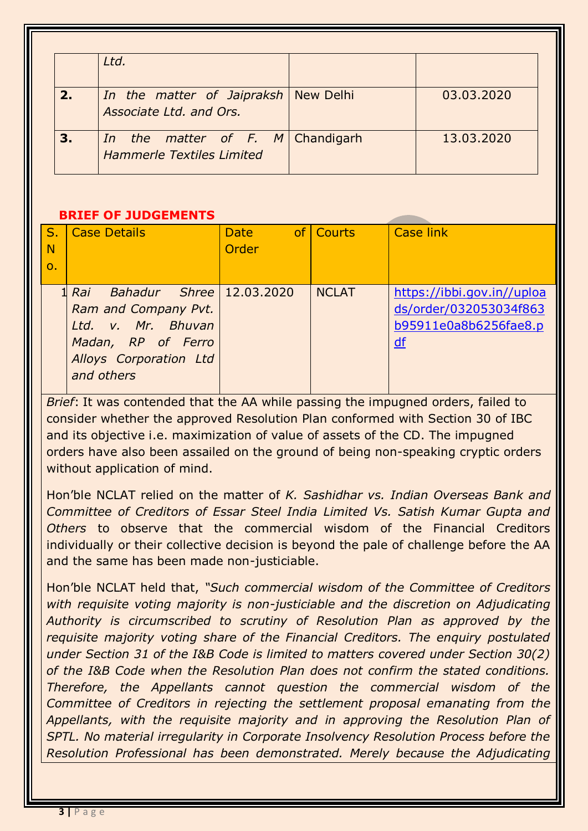|    | Ltd.                                                                 |            |
|----|----------------------------------------------------------------------|------------|
| 2. | In the matter of Jaipraksh   New Delhi<br>Associate Ltd. and Ors.    | 03.03.2020 |
| 3. | In the matter of F. M Chandigarh<br><b>Hammerle Textiles Limited</b> | 13.03.2020 |

#### **BRIEF OF JUDGEMENTS**

| S.<br><b>N</b><br>$\mathbf{O}$ | <b>Case Details</b>                                                                                                                               | <b>Date</b><br>Order | of Courts    | Case link                                                                           |
|--------------------------------|---------------------------------------------------------------------------------------------------------------------------------------------------|----------------------|--------------|-------------------------------------------------------------------------------------|
|                                | $Bahadur$ Shree   12.03.2020<br>1 Rai<br>Ram and Company Pvt.<br>Ltd. v. Mr. Bhuvan<br>Madan, RP of Ferro<br>Alloys Corporation Ltd<br>and others |                      | <b>NCLAT</b> | https://ibbi.gov.in//uploa<br>ds/order/032053034f863<br>b95911e0a8b6256fae8.p<br>df |

*Brief*: It was contended that the AA while passing the impugned orders, failed to consider whether the approved Resolution Plan conformed with Section 30 of IBC and its objective i.e. maximization of value of assets of the CD. The impugned orders have also been assailed on the ground of being non-speaking cryptic orders without application of mind.

Hon'ble NCLAT relied on the matter of *K. Sashidhar vs. Indian Overseas Bank and Committee of Creditors of Essar Steel India Limited Vs. Satish Kumar Gupta and Others* to observe that the commercial wisdom of the Financial Creditors individually or their collective decision is beyond the pale of challenge before the AA and the same has been made non-justiciable.

Hon'ble NCLAT held that, *"Such commercial wisdom of the Committee of Creditors*  with requisite voting majority is non-justiciable and the discretion on Adjudicating *Authority is circumscribed to scrutiny of Resolution Plan as approved by the requisite majority voting share of the Financial Creditors. The enquiry postulated under Section 31 of the I&B Code is limited to matters covered under Section 30(2) of the I&B Code when the Resolution Plan does not confirm the stated conditions. Therefore, the Appellants cannot question the commercial wisdom of the Committee of Creditors in rejecting the settlement proposal emanating from the Appellants, with the requisite majority and in approving the Resolution Plan of SPTL. No material irregularity in Corporate Insolvency Resolution Process before the Resolution Professional has been demonstrated. Merely because the Adjudicating*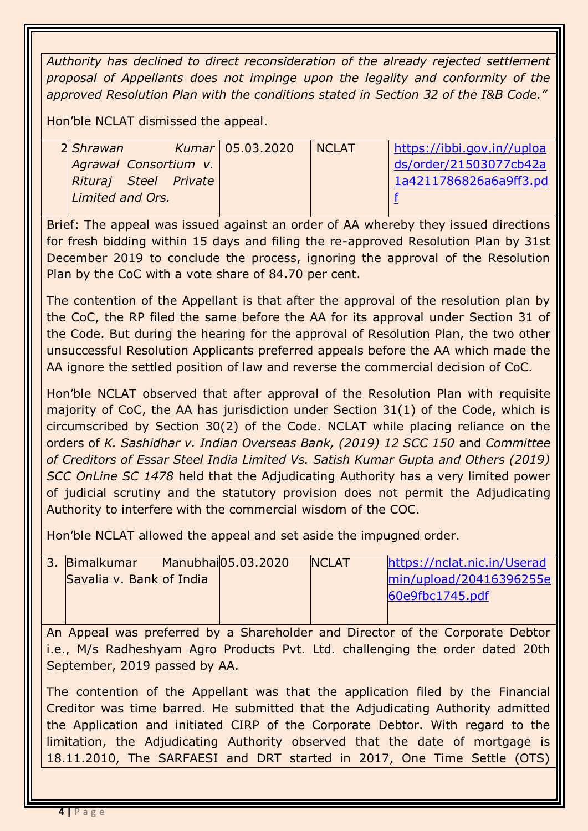*Authority has declined to direct reconsideration of the already rejected settlement proposal of Appellants does not impinge upon the legality and conformity of the approved Resolution Plan with the conditions stated in Section 32 of the I&B Code."*

Hon'ble NCLAT dismissed the appeal.

| 2 Shrawan             | Kumar   05.03.2020 | I NCLAT | https://ibbi.gov.in//uploa |
|-----------------------|--------------------|---------|----------------------------|
| Agrawal Consortium v. |                    |         | ds/order/21503077cb42a     |
| Rituraj Steel Private |                    |         | 1a4211786826a6a9ff3.pd     |
| Limited and Ors.      |                    |         |                            |
|                       |                    |         |                            |

Brief: The appeal was issued against an order of AA whereby they issued directions for fresh bidding within 15 days and filing the re-approved Resolution Plan by 31st December 2019 to conclude the process, ignoring the approval of the Resolution Plan by the CoC with a vote share of 84.70 per cent.

The contention of the Appellant is that after the approval of the resolution plan by the CoC, the RP filed the same before the AA for its approval under Section 31 of the Code. But during the hearing for the approval of Resolution Plan, the two other unsuccessful Resolution Applicants preferred appeals before the AA which made the AA ignore the settled position of law and reverse the commercial decision of CoC.

Hon'ble NCLAT observed that after approval of the Resolution Plan with requisite majority of CoC, the AA has jurisdiction under Section 31(1) of the Code, which is circumscribed by Section 30(2) of the Code. NCLAT while placing reliance on the orders of *K. Sashidhar v. Indian Overseas Bank, (2019) 12 SCC 150* and *Committee of Creditors of Essar Steel India Limited Vs. Satish Kumar Gupta and Others (2019) SCC OnLine SC 1478* held that the Adjudicating Authority has a very limited power of judicial scrutiny and the statutory provision does not permit the Adjudicating Authority to interfere with the commercial wisdom of the COC.

Hon'ble NCLAT allowed the appeal and set aside the impugned order.

| 3. Bimalkumar            | Manubhai05.03.2020 | <b>INCLAT</b> | https://nclat.nic.in/Userad |
|--------------------------|--------------------|---------------|-----------------------------|
| Savalia v. Bank of India |                    |               | min/upload/20416396255e     |
|                          |                    |               | 60e9fbc1745.pdf             |
|                          |                    |               |                             |

An Appeal was preferred by a Shareholder and Director of the Corporate Debtor i.e., M/s Radheshyam Agro Products Pvt. Ltd. challenging the order dated 20th September, 2019 passed by AA.

The contention of the Appellant was that the application filed by the Financial Creditor was time barred. He submitted that the Adjudicating Authority admitted the Application and initiated CIRP of the Corporate Debtor. With regard to the limitation, the Adjudicating Authority observed that the date of mortgage is 18.11.2010, The SARFAESI and DRT started in 2017, One Time Settle (OTS)